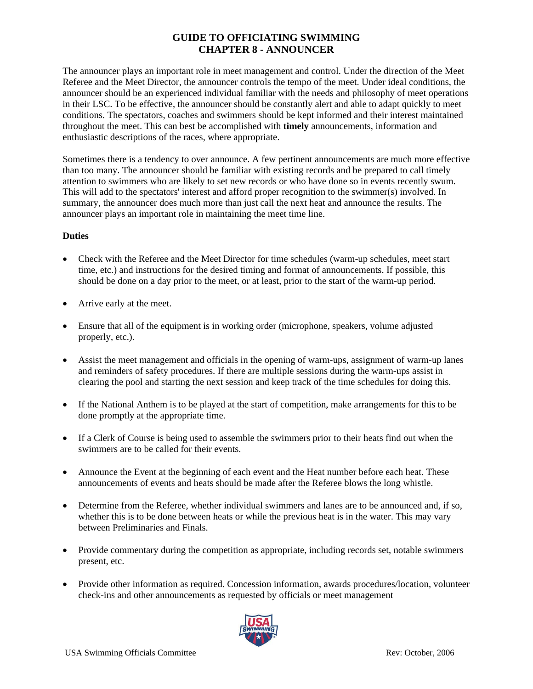# **GUIDE TO OFFICIATING SWIMMING CHAPTER 8 - ANNOUNCER**

The announcer plays an important role in meet management and control. Under the direction of the Meet Referee and the Meet Director, the announcer controls the tempo of the meet. Under ideal conditions, the announcer should be an experienced individual familiar with the needs and philosophy of meet operations in their LSC. To be effective, the announcer should be constantly alert and able to adapt quickly to meet conditions. The spectators, coaches and swimmers should be kept informed and their interest maintained throughout the meet. This can best be accomplished with **timely** announcements, information and enthusiastic descriptions of the races, where appropriate.

Sometimes there is a tendency to over announce. A few pertinent announcements are much more effective than too many. The announcer should be familiar with existing records and be prepared to call timely attention to swimmers who are likely to set new records or who have done so in events recently swum. This will add to the spectators' interest and afford proper recognition to the swimmer(s) involved. In summary, the announcer does much more than just call the next heat and announce the results. The announcer plays an important role in maintaining the meet time line.

#### **Duties**

- Check with the Referee and the Meet Director for time schedules (warm-up schedules, meet start time, etc.) and instructions for the desired timing and format of announcements. If possible, this should be done on a day prior to the meet, or at least, prior to the start of the warm-up period.
- Arrive early at the meet.
- Ensure that all of the equipment is in working order (microphone, speakers, volume adjusted properly, etc.).
- Assist the meet management and officials in the opening of warm-ups, assignment of warm-up lanes and reminders of safety procedures. If there are multiple sessions during the warm-ups assist in clearing the pool and starting the next session and keep track of the time schedules for doing this.
- If the National Anthem is to be played at the start of competition, make arrangements for this to be done promptly at the appropriate time.
- If a Clerk of Course is being used to assemble the swimmers prior to their heats find out when the swimmers are to be called for their events.
- Announce the Event at the beginning of each event and the Heat number before each heat. These announcements of events and heats should be made after the Referee blows the long whistle.
- Determine from the Referee, whether individual swimmers and lanes are to be announced and, if so, whether this is to be done between heats or while the previous heat is in the water. This may vary between Preliminaries and Finals.
- Provide commentary during the competition as appropriate, including records set, notable swimmers present, etc.
- Provide other information as required. Concession information, awards procedures/location, volunteer check-ins and other announcements as requested by officials or meet management

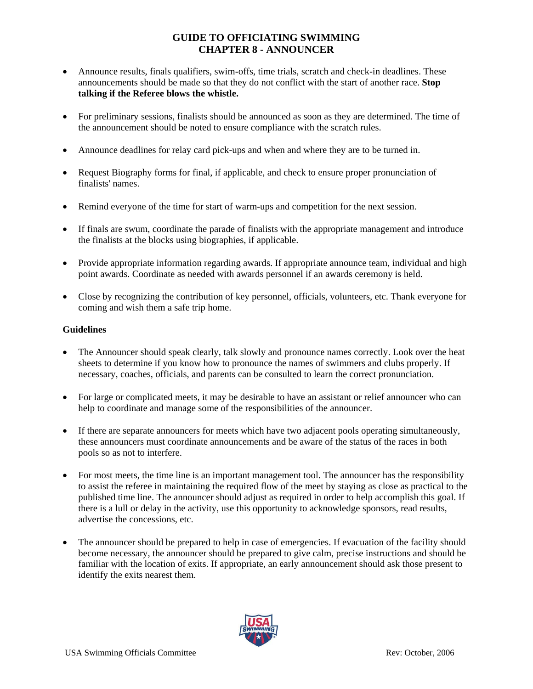# **GUIDE TO OFFICIATING SWIMMING CHAPTER 8 - ANNOUNCER**

- Announce results, finals qualifiers, swim-offs, time trials, scratch and check-in deadlines. These announcements should be made so that they do not conflict with the start of another race. **Stop talking if the Referee blows the whistle.**
- For preliminary sessions, finalists should be announced as soon as they are determined. The time of the announcement should be noted to ensure compliance with the scratch rules.
- Announce deadlines for relay card pick-ups and when and where they are to be turned in.
- Request Biography forms for final, if applicable, and check to ensure proper pronunciation of finalists' names.
- Remind everyone of the time for start of warm-ups and competition for the next session.
- If finals are swum, coordinate the parade of finalists with the appropriate management and introduce the finalists at the blocks using biographies, if applicable.
- Provide appropriate information regarding awards. If appropriate announce team, individual and high point awards. Coordinate as needed with awards personnel if an awards ceremony is held.
- Close by recognizing the contribution of key personnel, officials, volunteers, etc. Thank everyone for coming and wish them a safe trip home.

#### **Guidelines**

- The Announcer should speak clearly, talk slowly and pronounce names correctly. Look over the heat sheets to determine if you know how to pronounce the names of swimmers and clubs properly. If necessary, coaches, officials, and parents can be consulted to learn the correct pronunciation.
- For large or complicated meets, it may be desirable to have an assistant or relief announcer who can help to coordinate and manage some of the responsibilities of the announcer.
- If there are separate announcers for meets which have two adjacent pools operating simultaneously, these announcers must coordinate announcements and be aware of the status of the races in both pools so as not to interfere.
- For most meets, the time line is an important management tool. The announcer has the responsibility to assist the referee in maintaining the required flow of the meet by staying as close as practical to the published time line. The announcer should adjust as required in order to help accomplish this goal. If there is a lull or delay in the activity, use this opportunity to acknowledge sponsors, read results, advertise the concessions, etc.
- The announcer should be prepared to help in case of emergencies. If evacuation of the facility should become necessary, the announcer should be prepared to give calm, precise instructions and should be familiar with the location of exits. If appropriate, an early announcement should ask those present to identify the exits nearest them.